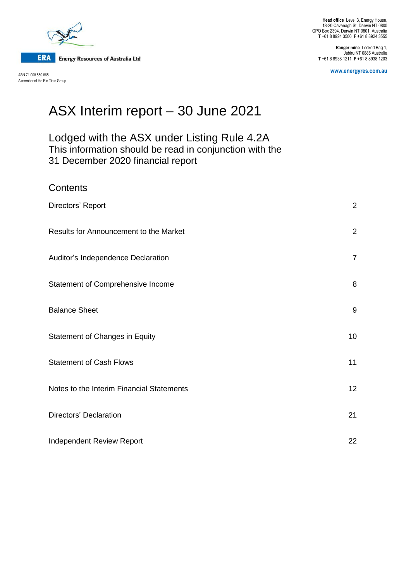

Contents

ABN 71 008 550 865 A member of the Rio Tinto Group

**Head office** Level 3, Energy House, 18-20 Cavenagh St, Darwin NT 0800 GPO Box 2394, Darwin NT 0801, Australia **T** +61 8 8924 3500 **F** +61 8 8924 3555

**Ranger mine** Locked Bag 1, Jabiru NT 0886 Australia **T** +61 8 8938 1211 **F** +61 8 8938 1203

**www.energyres.com.au**

# ASX Interim report – 30 June 2021

# Lodged with the ASX under Listing Rule 4.2A This information should be read in conjunction with the 31 December 2020 financial report

| <b>UUITEITS</b>                           |                |
|-------------------------------------------|----------------|
| Directors' Report                         | $\overline{2}$ |
| Results for Announcement to the Market    | 2              |
| Auditor's Independence Declaration        | $\overline{7}$ |
| Statement of Comprehensive Income         | 8              |
| <b>Balance Sheet</b>                      | 9              |
| <b>Statement of Changes in Equity</b>     | 10             |
| <b>Statement of Cash Flows</b>            | 11             |
| Notes to the Interim Financial Statements | 12             |
| Directors' Declaration                    | 21             |
| Independent Review Report                 | 22             |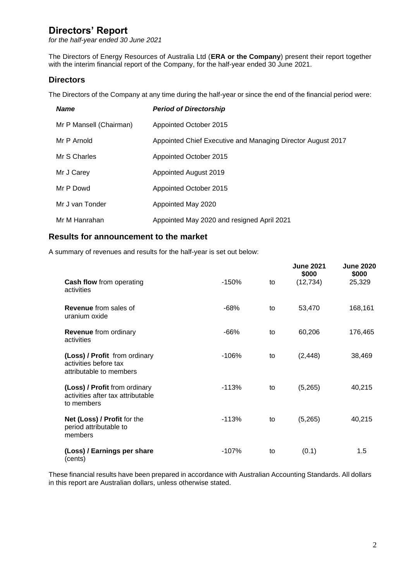*for the half-year ended 30 June 2021*

The Directors of Energy Resources of Australia Ltd (**ERA or the Company**) present their report together with the interim financial report of the Company, for the half-year ended 30 June 2021.

# **Directors**

The Directors of the Company at any time during the half-year or since the end of the financial period were:

| <b>Name</b>             | <b>Period of Directorship</b>                               |
|-------------------------|-------------------------------------------------------------|
| Mr P Mansell (Chairman) | Appointed October 2015                                      |
| Mr P Arnold             | Appointed Chief Executive and Managing Director August 2017 |
| Mr S Charles            | Appointed October 2015                                      |
| Mr J Carey              | Appointed August 2019                                       |
| Mr P Dowd               | Appointed October 2015                                      |
| Mr J van Tonder         | Appointed May 2020                                          |
| Mr M Hanrahan           | Appointed May 2020 and resigned April 2021                  |

### **Results for announcement to the market**

A summary of revenues and results for the half-year is set out below:

| <b>Cash flow from operating</b><br>activities                                     | $-150%$ | to | <b>June 2021</b><br>\$000<br>(12, 734) | <b>June 2020</b><br>\$000<br>25,329 |
|-----------------------------------------------------------------------------------|---------|----|----------------------------------------|-------------------------------------|
| <b>Revenue</b> from sales of<br>uranium oxide                                     | $-68%$  | to | 53,470                                 | 168,161                             |
| Revenue from ordinary<br>activities                                               | $-66%$  | to | 60,206                                 | 176,465                             |
| (Loss) / Profit from ordinary<br>activities before tax<br>attributable to members | $-106%$ | to | (2, 448)                               | 38,469                              |
| (Loss) / Profit from ordinary<br>activities after tax attributable<br>to members  | $-113%$ | to | (5,265)                                | 40,215                              |
| Net (Loss) / Profit for the<br>period attributable to<br>members                  | $-113%$ | to | (5,265)                                | 40,215                              |
| (Loss) / Earnings per share<br>(cents)                                            | $-107%$ | to | (0.1)                                  | 1.5                                 |

These financial results have been prepared in accordance with Australian Accounting Standards. All dollars in this report are Australian dollars, unless otherwise stated.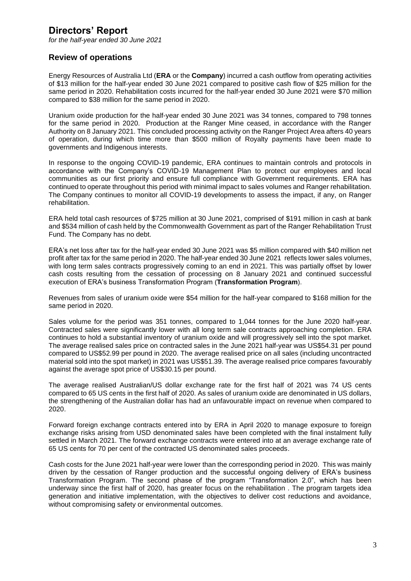*for the half-year ended 30 June 2021*

## **Review of operations**

Energy Resources of Australia Ltd (**ERA** or the **Company**) incurred a cash outflow from operating activities of \$13 million for the half-year ended 30 June 2021 compared to positive cash flow of \$25 million for the same period in 2020. Rehabilitation costs incurred for the half-year ended 30 June 2021 were \$70 million compared to \$38 million for the same period in 2020.

Uranium oxide production for the half-year ended 30 June 2021 was 34 tonnes, compared to 798 tonnes for the same period in 2020. Production at the Ranger Mine ceased, in accordance with the Ranger Authority on 8 January 2021. This concluded processing activity on the Ranger Project Area afters 40 years of operation, during which time more than \$500 million of Royalty payments have been made to governments and Indigenous interests.

In response to the ongoing COVID-19 pandemic, ERA continues to maintain controls and protocols in accordance with the Company's COVID-19 Management Plan to protect our employees and local communities as our first priority and ensure full compliance with Government requirements. ERA has continued to operate throughout this period with minimal impact to sales volumes and Ranger rehabilitation. The Company continues to monitor all COVID-19 developments to assess the impact, if any, on Ranger rehabilitation.

ERA held total cash resources of \$725 million at 30 June 2021, comprised of \$191 million in cash at bank and \$534 million of cash held by the Commonwealth Government as part of the Ranger Rehabilitation Trust Fund. The Company has no debt.

ERA's net loss after tax for the half-year ended 30 June 2021 was \$5 million compared with \$40 million net profit after tax for the same period in 2020. The half-year ended 30 June 2021 reflects lower sales volumes, with long term sales contracts progressively coming to an end in 2021. This was partially offset by lower cash costs resulting from the cessation of processing on 8 January 2021 and continued successful execution of ERA's business Transformation Program (**Transformation Program**).

Revenues from sales of uranium oxide were \$54 million for the half-year compared to \$168 million for the same period in 2020.

Sales volume for the period was 351 tonnes, compared to 1,044 tonnes for the June 2020 half-year. Contracted sales were significantly lower with all long term sale contracts approaching completion. ERA continues to hold a substantial inventory of uranium oxide and will progressively sell into the spot market. The average realised sales price on contracted sales in the June 2021 half-year was US\$54.31 per pound compared to US\$52.99 per pound in 2020. The average realised price on all sales (including uncontracted material sold into the spot market) in 2021 was US\$51.39. The average realised price compares favourably against the average spot price of US\$30.15 per pound.

The average realised Australian/US dollar exchange rate for the first half of 2021 was 74 US cents compared to 65 US cents in the first half of 2020. As sales of uranium oxide are denominated in US dollars, the strengthening of the Australian dollar has had an unfavourable impact on revenue when compared to 2020.

Forward foreign exchange contracts entered into by ERA in April 2020 to manage exposure to foreign exchange risks arising from USD denominated sales have been completed with the final instalment fully settled in March 2021. The forward exchange contracts were entered into at an average exchange rate of 65 US cents for 70 per cent of the contracted US denominated sales proceeds.

Cash costs for the June 2021 half-year were lower than the corresponding period in 2020. This was mainly driven by the cessation of Ranger production and the successful ongoing delivery of ERA's business Transformation Program. The second phase of the program "Transformation 2.0", which has been underway since the first half of 2020, has greater focus on the rehabilitation . The program targets idea generation and initiative implementation, with the objectives to deliver cost reductions and avoidance, without compromising safety or environmental outcomes.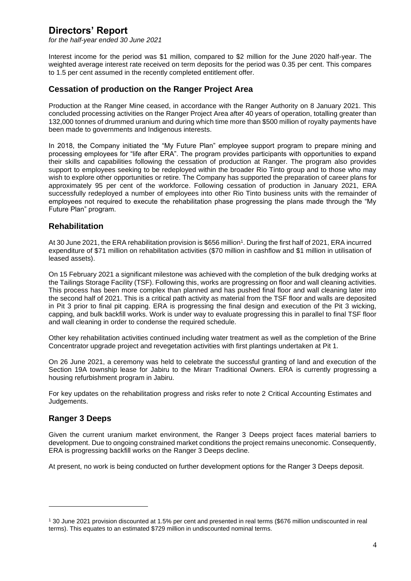*for the half-year ended 30 June 2021*

Interest income for the period was \$1 million, compared to \$2 million for the June 2020 half-year. The weighted average interest rate received on term deposits for the period was 0.35 per cent. This compares to 1.5 per cent assumed in the recently completed entitlement offer.

## **Cessation of production on the Ranger Project Area**

Production at the Ranger Mine ceased, in accordance with the Ranger Authority on 8 January 2021. This concluded processing activities on the Ranger Project Area after 40 years of operation, totalling greater than 132,000 tonnes of drummed uranium and during which time more than \$500 million of royalty payments have been made to governments and Indigenous interests.

In 2018, the Company initiated the "My Future Plan" employee support program to prepare mining and processing employees for "life after ERA". The program provides participants with opportunities to expand their skills and capabilities following the cessation of production at Ranger. The program also provides support to employees seeking to be redeployed within the broader Rio Tinto group and to those who may wish to explore other opportunities or retire. The Company has supported the preparation of career plans for approximately 95 per cent of the workforce. Following cessation of production in January 2021, ERA successfully redeployed a number of employees into other Rio Tinto business units with the remainder of employees not required to execute the rehabilitation phase progressing the plans made through the "My Future Plan" program.

## **Rehabilitation**

At 30 June 2021, the ERA rehabilitation provision is \$656 million<sup>1</sup>. During the first half of 2021, ERA incurred expenditure of \$71 million on rehabilitation activities (\$70 million in cashflow and \$1 million in utilisation of leased assets).

On 15 February 2021 a significant milestone was achieved with the completion of the bulk dredging works at the Tailings Storage Facility (TSF). Following this, works are progressing on floor and wall cleaning activities. This process has been more complex than planned and has pushed final floor and wall cleaning later into the second half of 2021. This is a critical path activity as material from the TSF floor and walls are deposited in Pit 3 prior to final pit capping. ERA is progressing the final design and execution of the Pit 3 wicking, capping, and bulk backfill works. Work is under way to evaluate progressing this in parallel to final TSF floor and wall cleaning in order to condense the required schedule.

Other key rehabilitation activities continued including water treatment as well as the completion of the Brine Concentrator upgrade project and revegetation activities with first plantings undertaken at Pit 1.

On 26 June 2021, a ceremony was held to celebrate the successful granting of land and execution of the Section 19A township lease for Jabiru to the Mirarr Traditional Owners. ERA is currently progressing a housing refurbishment program in Jabiru.

For key updates on the rehabilitation progress and risks refer to note 2 Critical Accounting Estimates and Judgements.

## **Ranger 3 Deeps**

Given the current uranium market environment, the Ranger 3 Deeps project faces material barriers to development. Due to ongoing constrained market conditions the project remains uneconomic. Consequently, ERA is progressing backfill works on the Ranger 3 Deeps decline.

At present, no work is being conducted on further development options for the Ranger 3 Deeps deposit.

<sup>1</sup> 30 June 2021 provision discounted at 1.5% per cent and presented in real terms (\$676 million undiscounted in real terms). This equates to an estimated \$729 million in undiscounted nominal terms.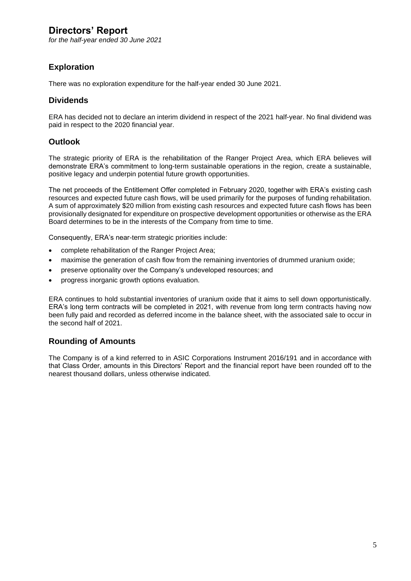*for the half-year ended 30 June 2021*

# **Exploration**

There was no exploration expenditure for the half-year ended 30 June 2021.

## **Dividends**

ERA has decided not to declare an interim dividend in respect of the 2021 half-year. No final dividend was paid in respect to the 2020 financial year.

## **Outlook**

The strategic priority of ERA is the rehabilitation of the Ranger Project Area, which ERA believes will demonstrate ERA's commitment to long-term sustainable operations in the region, create a sustainable, positive legacy and underpin potential future growth opportunities.

The net proceeds of the Entitlement Offer completed in February 2020, together with ERA's existing cash resources and expected future cash flows, will be used primarily for the purposes of funding rehabilitation. A sum of approximately \$20 million from existing cash resources and expected future cash flows has been provisionally designated for expenditure on prospective development opportunities or otherwise as the ERA Board determines to be in the interests of the Company from time to time.

Consequently, ERA's near-term strategic priorities include:

- complete rehabilitation of the Ranger Project Area;
- maximise the generation of cash flow from the remaining inventories of drummed uranium oxide;
- preserve optionality over the Company's undeveloped resources; and
- progress inorganic growth options evaluation.

ERA continues to hold substantial inventories of uranium oxide that it aims to sell down opportunistically. ERA's long term contracts will be completed in 2021, with revenue from long term contracts having now been fully paid and recorded as deferred income in the balance sheet, with the associated sale to occur in the second half of 2021.

## **Rounding of Amounts**

The Company is of a kind referred to in ASIC Corporations Instrument 2016/191 and in accordance with that Class Order, amounts in this Directors' Report and the financial report have been rounded off to the nearest thousand dollars, unless otherwise indicated.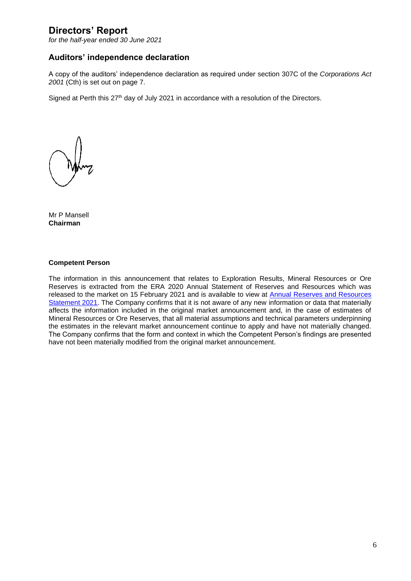*for the half-year ended 30 June 2021*

### **Auditors' independence declaration**

A copy of the auditors' independence declaration as required under section 307C of the *Corporations Act 2001* (Cth) is set out on page 7.

Signed at Perth this 27<sup>th</sup> day of July 2021 in accordance with a resolution of the Directors.

Mr P Mansell **Chairman**

#### **Competent Person**

The information in this announcement that relates to Exploration Results, Mineral Resources or Ore Reserves is extracted from the ERA 2020 Annual Statement of Reserves and Resources which was released to the market on 15 February 2021 and is available to view at [Annual Reserves and Resources](https://cdn-api.markitdigital.com/apiman-gateway/ASX/asx-research/1.0/file/2924-02341007-2A1280281?access_token=83ff96335c2d45a094df02a206a39ff4)  [Statement 2021.](https://cdn-api.markitdigital.com/apiman-gateway/ASX/asx-research/1.0/file/2924-02341007-2A1280281?access_token=83ff96335c2d45a094df02a206a39ff4) The Company confirms that it is not aware of any new information or data that materially affects the information included in the original market announcement and, in the case of estimates of Mineral Resources or Ore Reserves, that all material assumptions and technical parameters underpinning the estimates in the relevant market announcement continue to apply and have not materially changed. The Company confirms that the form and context in which the Competent Person's findings are presented have not been materially modified from the original market announcement.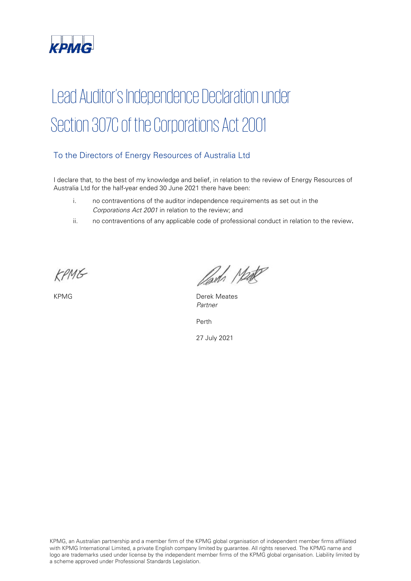

# Lead Auditor's Independence Declaration under Section 307C of the Corporations Act 2001

# To the Directors of Energy Resources of Australia Ltd

I declare that, to the best of my knowledge and belief, in relation to the review of Energy Resources of Australia Ltd for the half-year ended 30 June 2021 there have been:

- i. no contraventions of the auditor independence requirements as set out in the Corporations Act 2001 in relation to the review; and
- ii. no contraventions of any applicable code of professional conduct in relation to the review.

KPMG

Parts Make

KPMG **Derek Meates** Partner

Perth

27 July 2021

KPMG, an Australian partnership and a member firm of the KPMG global organisation of independent member firms affiliated with KPMG International Limited, a private English company limited by guarantee. All rights reserved. The KPMG name and logo are trademarks used under license by the independent member firms of the KPMG global organisation. Liability limited by a scheme approved under Professional Standards Legislation.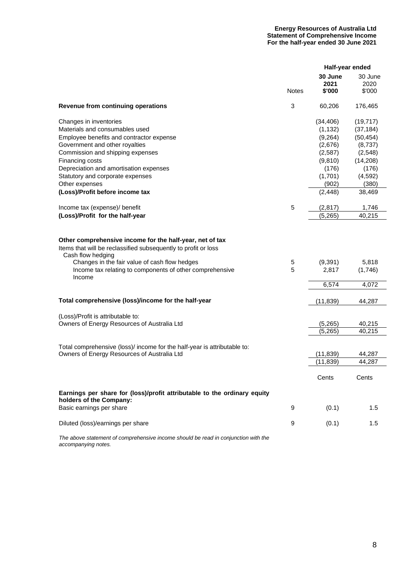#### **Energy Resources of Australia Ltd Statement of Comprehensive Income For the half-year ended 30 June 2021**

|                                                                                                                                                                                                                                                                                                                                                                                                      |              | Half-year ended                                                                                                                   |                                                                                                                                   |
|------------------------------------------------------------------------------------------------------------------------------------------------------------------------------------------------------------------------------------------------------------------------------------------------------------------------------------------------------------------------------------------------------|--------------|-----------------------------------------------------------------------------------------------------------------------------------|-----------------------------------------------------------------------------------------------------------------------------------|
|                                                                                                                                                                                                                                                                                                                                                                                                      | <b>Notes</b> | 30 June<br>2021<br>\$'000                                                                                                         | 30 June<br>2020<br>\$'000                                                                                                         |
| Revenue from continuing operations                                                                                                                                                                                                                                                                                                                                                                   | 3            | 60,206                                                                                                                            | 176,465                                                                                                                           |
| Changes in inventories<br>Materials and consumables used<br>Employee benefits and contractor expense<br>Government and other royalties<br>Commission and shipping expenses<br>Financing costs<br>Depreciation and amortisation expenses<br>Statutory and corporate expenses<br>Other expenses<br>(Loss)/Profit before income tax<br>Income tax (expense)/ benefit<br>(Loss)/Profit for the half-year | 5            | (34, 406)<br>(1, 132)<br>(9,264)<br>(2,676)<br>(2,587)<br>(9,810)<br>(176)<br>(1,701)<br>(902)<br>(2, 448)<br>(2, 817)<br>(5,265) | (19, 717)<br>(37, 184)<br>(50, 454)<br>(8,737)<br>(2, 548)<br>(14,208)<br>(176)<br>(4, 592)<br>(380)<br>38,469<br>1,746<br>40,215 |
| Other comprehensive income for the half-year, net of tax<br>Items that will be reclassified subsequently to profit or loss<br>Cash flow hedging                                                                                                                                                                                                                                                      |              |                                                                                                                                   |                                                                                                                                   |
| Changes in the fair value of cash flow hedges<br>Income tax relating to components of other comprehensive<br>Income                                                                                                                                                                                                                                                                                  | 5<br>5       | (9,391)<br>2,817                                                                                                                  | 5,818<br>(1,746)                                                                                                                  |
|                                                                                                                                                                                                                                                                                                                                                                                                      |              | 6,574                                                                                                                             | 4,072                                                                                                                             |
| Total comprehensive (loss)/income for the half-year                                                                                                                                                                                                                                                                                                                                                  |              | (11, 839)                                                                                                                         | 44,287                                                                                                                            |
| (Loss)/Profit is attributable to:<br>Owners of Energy Resources of Australia Ltd                                                                                                                                                                                                                                                                                                                     |              | (5, 265)<br>(5,265)                                                                                                               | 40,215<br>40,215                                                                                                                  |
| Total comprehensive (loss)/ income for the half-year is attributable to:<br>Owners of Energy Resources of Australia Ltd                                                                                                                                                                                                                                                                              |              | (11, 839)<br>(11, 839)                                                                                                            | 44,287<br>44,287                                                                                                                  |
|                                                                                                                                                                                                                                                                                                                                                                                                      |              | Cents                                                                                                                             | Cents                                                                                                                             |
| Earnings per share for (loss)/profit attributable to the ordinary equity<br>holders of the Company:                                                                                                                                                                                                                                                                                                  |              |                                                                                                                                   |                                                                                                                                   |
| Basic earnings per share                                                                                                                                                                                                                                                                                                                                                                             | 9            | (0.1)                                                                                                                             | 1.5                                                                                                                               |
| Diluted (loss)/earnings per share                                                                                                                                                                                                                                                                                                                                                                    | 9            | (0.1)                                                                                                                             | 1.5                                                                                                                               |

*The above statement of comprehensive income should be read in conjunction with the accompanying notes.*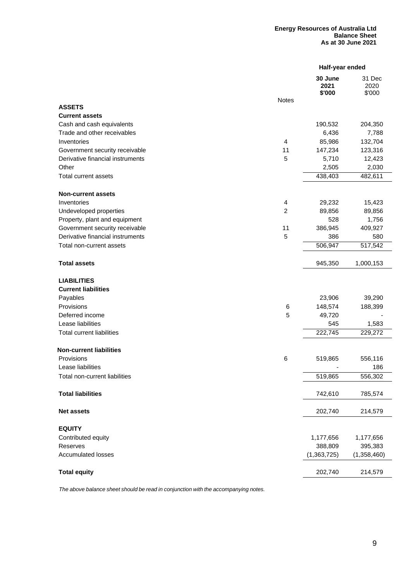#### **Energy Resources of Australia Ltd Balance Sheet As at 30 June 2021**

|                                           |                | Half-year ended           |                          |
|-------------------------------------------|----------------|---------------------------|--------------------------|
|                                           | <b>Notes</b>   | 30 June<br>2021<br>\$'000 | 31 Dec<br>2020<br>\$'000 |
| <b>ASSETS</b>                             |                |                           |                          |
| <b>Current assets</b>                     |                |                           |                          |
| Cash and cash equivalents                 |                | 190,532                   | 204,350                  |
| Trade and other receivables               |                | 6,436                     | 7,788                    |
| Inventories                               | 4              | 85,986                    | 132,704                  |
| Government security receivable            | 11             | 147,234                   | 123,316                  |
| Derivative financial instruments<br>Other | 5              | 5,710<br>2,505            | 12,423<br>2,030          |
| Total current assets                      |                | 438,403                   | 482,611                  |
|                                           |                |                           |                          |
| <b>Non-current assets</b>                 |                |                           |                          |
| Inventories                               | $\overline{4}$ | 29,232                    | 15,423                   |
| Undeveloped properties                    | $\overline{c}$ | 89,856                    | 89,856                   |
| Property, plant and equipment             |                | 528                       | 1,756                    |
| Government security receivable            | 11             | 386,945                   | 409,927                  |
| Derivative financial instruments          | 5              | 386                       | 580                      |
| Total non-current assets                  |                | 506,947                   | 517,542                  |
| <b>Total assets</b>                       |                | 945,350                   | 1,000,153                |
| <b>LIABILITIES</b>                        |                |                           |                          |
| <b>Current liabilities</b>                |                |                           |                          |
| Payables                                  |                | 23,906                    | 39,290                   |
| Provisions                                | 6              | 148,574                   | 188,399                  |
| Deferred income                           | 5              | 49,720                    |                          |
| Lease liabilities                         |                | 545                       | 1,583                    |
| <b>Total current liabilities</b>          |                | 222,745                   | 229,272                  |
| <b>Non-current liabilities</b>            |                |                           |                          |
| Provisions                                | $\,6$          | 519,865                   | 556,116                  |
| Lease liabilities                         |                |                           | 186                      |
| Total non-current liabilities             |                | 519,865                   | 556,302                  |
| <b>Total liabilities</b>                  |                | 742,610                   | 785,574                  |
| <b>Net assets</b>                         |                | 202,740                   | 214,579                  |
| <b>EQUITY</b>                             |                |                           |                          |
| Contributed equity                        |                | 1,177,656                 | 1,177,656                |
| Reserves                                  |                | 388,809                   | 395,383                  |
| Accumulated losses                        |                | (1,363,725)               | (1,358,460)              |
| <b>Total equity</b>                       |                | 202,740                   | 214,579                  |
|                                           |                |                           |                          |

*The above balance sheet should be read in conjunction with the accompanying notes.*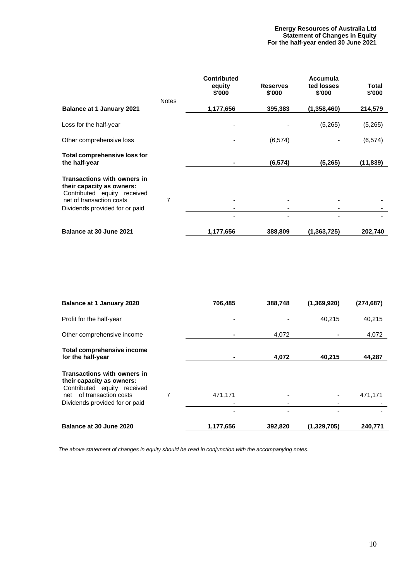#### **Energy Resources of Australia Ltd Statement of Changes in Equity For the half-year ended 30 June 2021**

|                                                                                         |              | <b>Contributed</b><br>equity<br>\$'000 | <b>Reserves</b><br>\$'000 | Accumula<br>ted losses<br>\$'000 | Total<br>\$'000 |
|-----------------------------------------------------------------------------------------|--------------|----------------------------------------|---------------------------|----------------------------------|-----------------|
|                                                                                         | <b>Notes</b> |                                        |                           |                                  |                 |
| <b>Balance at 1 January 2021</b>                                                        |              | 1,177,656                              | 395,383                   | (1,358,460)                      | 214,579         |
| Loss for the half-year                                                                  |              |                                        |                           | (5,265)                          | (5,265)         |
| Other comprehensive loss                                                                |              |                                        | (6, 574)                  |                                  | (6, 574)        |
| Total comprehensive loss for<br>the half-year                                           |              | $\blacksquare$                         | (6, 574)                  | (5,265)                          | (11,839)        |
| Transactions with owners in<br>their capacity as owners:<br>Contributed equity received |              |                                        |                           |                                  |                 |
| net of transaction costs<br>Dividends provided for or paid                              | 7            |                                        |                           |                                  |                 |
|                                                                                         |              |                                        |                           |                                  |                 |
| Balance at 30 June 2021                                                                 |              | 1,177,656                              | 388,809                   | (1,363,725)                      | 202,740         |

| <b>Balance at 1 January 2020</b>                                                        |   | 706,485   | 388,748 | (1,369,920) | (274,687) |
|-----------------------------------------------------------------------------------------|---|-----------|---------|-------------|-----------|
| Profit for the half-year                                                                |   | ۰         |         | 40,215      | 40,215    |
| Other comprehensive income                                                              |   |           | 4,072   |             | 4,072     |
| <b>Total comprehensive income</b><br>for the half-year                                  |   |           | 4,072   | 40.215      | 44,287    |
| Transactions with owners in<br>their capacity as owners:<br>Contributed equity received |   |           |         |             |           |
| net of transaction costs<br>Dividends provided for or paid                              | 7 | 471,171   |         |             | 471,171   |
|                                                                                         |   |           |         |             |           |
| Balance at 30 June 2020                                                                 |   | 1,177,656 | 392,820 | (1,329,705) | 240,771   |

*The above statement of changes in equity should be read in conjunction with the accompanying notes*.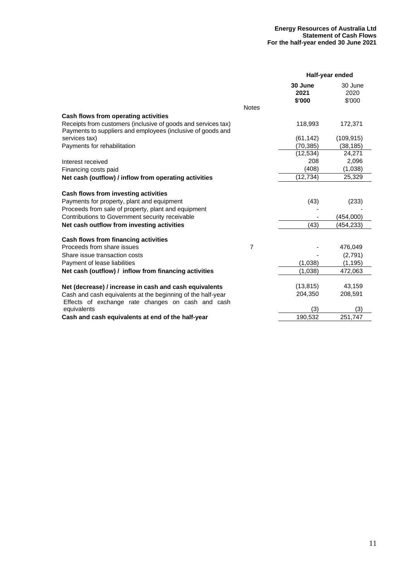|                                                                                                                              |                |                 | Half-year ended |
|------------------------------------------------------------------------------------------------------------------------------|----------------|-----------------|-----------------|
|                                                                                                                              |                | 30 June<br>2021 | 30 June<br>2020 |
|                                                                                                                              |                | \$'000          | \$'000          |
|                                                                                                                              | <b>Notes</b>   |                 |                 |
| Cash flows from operating activities                                                                                         |                |                 |                 |
| Receipts from customers (inclusive of goods and services tax)<br>Payments to suppliers and employees (inclusive of goods and |                | 118,993         | 172,371         |
| services tax)                                                                                                                |                | (61, 142)       | (109, 915)      |
| Payments for rehabilitation                                                                                                  |                | (70, 385)       | (38, 185)       |
|                                                                                                                              |                | (12, 534)       | 24,271          |
| Interest received                                                                                                            |                | 208             | 2,096           |
| Financing costs paid                                                                                                         |                | (408)           | (1,038)         |
| Net cash (outflow) / inflow from operating activities                                                                        |                | (12, 734)       | 25,329          |
| Cash flows from investing activities                                                                                         |                |                 |                 |
| Payments for property, plant and equipment                                                                                   |                | (43)            | (233)           |
| Proceeds from sale of property, plant and equipment                                                                          |                |                 |                 |
| Contributions to Government security receivable                                                                              |                |                 | (454,000)       |
| Net cash outflow from investing activities                                                                                   |                | (43)            | (454, 233)      |
| Cash flows from financing activities                                                                                         |                |                 |                 |
| Proceeds from share issues                                                                                                   | $\overline{7}$ |                 | 476,049         |
| Share issue transaction costs                                                                                                |                |                 | (2,791)         |
| Payment of lease liabilities                                                                                                 |                | (1,038)         | (1, 195)        |
| Net cash (outflow) / inflow from financing activities                                                                        |                | (1,038)         | 472,063         |
| Net (decrease) / increase in cash and cash equivalents                                                                       |                | (13, 815)       | 43,159          |
| Cash and cash equivalents at the beginning of the half-year                                                                  |                | 204,350         | 208,591         |
| Effects of exchange rate changes on cash and cash                                                                            |                |                 |                 |
| equivalents                                                                                                                  |                | (3)             | (3)             |
| Cash and cash equivalents at end of the half-year                                                                            |                | 190,532         | 251,747         |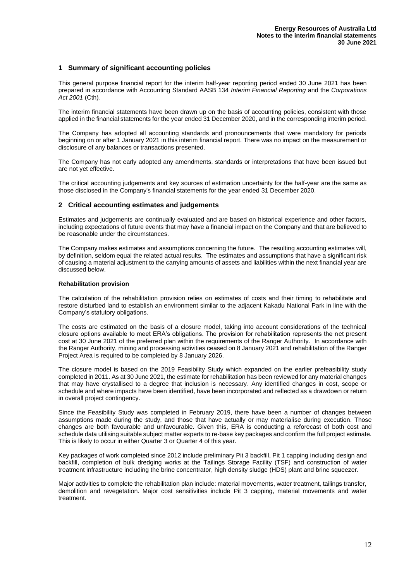#### **1 Summary of significant accounting policies**

This general purpose financial report for the interim half-year reporting period ended 30 June 2021 has been prepared in accordance with Accounting Standard AASB 134 *Interim Financial Reporting* and the *Corporations Act 2001* (Cth)*.*

The interim financial statements have been drawn up on the basis of accounting policies, consistent with those applied in the financial statements for the year ended 31 December 2020, and in the corresponding interim period.

The Company has adopted all accounting standards and pronouncements that were mandatory for periods beginning on or after 1 January 2021 in this interim financial report. There was no impact on the measurement or disclosure of any balances or transactions presented.

The Company has not early adopted any amendments, standards or interpretations that have been issued but are not yet effective.

The critical accounting judgements and key sources of estimation uncertainty for the half-year are the same as those disclosed in the Company's financial statements for the year ended 31 December 2020.

#### **2 Critical accounting estimates and judgements**

Estimates and judgements are continually evaluated and are based on historical experience and other factors, including expectations of future events that may have a financial impact on the Company and that are believed to be reasonable under the circumstances.

The Company makes estimates and assumptions concerning the future. The resulting accounting estimates will, by definition, seldom equal the related actual results. The estimates and assumptions that have a significant risk of causing a material adjustment to the carrying amounts of assets and liabilities within the next financial year are discussed below.

#### **Rehabilitation provision**

The calculation of the rehabilitation provision relies on estimates of costs and their timing to rehabilitate and restore disturbed land to establish an environment similar to the adjacent Kakadu National Park in line with the Company's statutory obligations.

The costs are estimated on the basis of a closure model, taking into account considerations of the technical closure options available to meet ERA's obligations. The provision for rehabilitation represents the net present cost at 30 June 2021 of the preferred plan within the requirements of the Ranger Authority. In accordance with the Ranger Authority, mining and processing activities ceased on 8 January 2021 and rehabilitation of the Ranger Project Area is required to be completed by 8 January 2026.

The closure model is based on the 2019 Feasibility Study which expanded on the earlier prefeasibility study completed in 2011. As at 30 June 2021, the estimate for rehabilitation has been reviewed for any material changes that may have crystallised to a degree that inclusion is necessary. Any identified changes in cost, scope or schedule and where impacts have been identified, have been incorporated and reflected as a drawdown or return in overall project contingency.

Since the Feasibility Study was completed in February 2019, there have been a number of changes between assumptions made during the study, and those that have actually or may materialise during execution. Those changes are both favourable and unfavourable. Given this, ERA is conducting a reforecast of both cost and schedule data utilising suitable subject matter experts to re-base key packages and confirm the full project estimate. This is likely to occur in either Quarter 3 or Quarter 4 of this year.

Key packages of work completed since 2012 include preliminary Pit 3 backfill, Pit 1 capping including design and backfill, completion of bulk dredging works at the Tailings Storage Facility (TSF) and construction of water treatment infrastructure including the brine concentrator, high density sludge (HDS) plant and brine squeezer.

Major activities to complete the rehabilitation plan include: material movements, water treatment, tailings transfer, demolition and revegetation. Major cost sensitivities include Pit 3 capping, material movements and water treatment.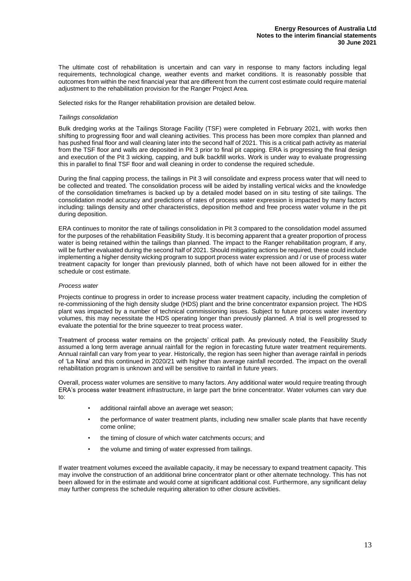The ultimate cost of rehabilitation is uncertain and can vary in response to many factors including legal requirements, technological change, weather events and market conditions. It is reasonably possible that outcomes from within the next financial year that are different from the current cost estimate could require material adjustment to the rehabilitation provision for the Ranger Project Area.

Selected risks for the Ranger rehabilitation provision are detailed below.

#### *Tailings consolidation*

Bulk dredging works at the Tailings Storage Facility (TSF) were completed in February 2021, with works then shifting to progressing floor and wall cleaning activities. This process has been more complex than planned and has pushed final floor and wall cleaning later into the second half of 2021. This is a critical path activity as material from the TSF floor and walls are deposited in Pit 3 prior to final pit capping. ERA is progressing the final design and execution of the Pit 3 wicking, capping, and bulk backfill works. Work is under way to evaluate progressing this in parallel to final TSF floor and wall cleaning in order to condense the required schedule.

During the final capping process, the tailings in Pit 3 will consolidate and express process water that will need to be collected and treated. The consolidation process will be aided by installing vertical wicks and the knowledge of the consolidation timeframes is backed up by a detailed model based on in situ testing of site tailings. The consolidation model accuracy and predictions of rates of process water expression is impacted by many factors including: tailings density and other characteristics, deposition method and free process water volume in the pit during deposition.

ERA continues to monitor the rate of tailings consolidation in Pit 3 compared to the consolidation model assumed for the purposes of the rehabilitation Feasibility Study. It is becoming apparent that a greater proportion of process water is being retained within the tailings than planned. The impact to the Ranger rehabilitation program, if any, will be further evaluated during the second half of 2021. Should mitigating actions be required, these could include implementing a higher density wicking program to support process water expression and / or use of process water treatment capacity for longer than previously planned, both of which have not been allowed for in either the schedule or cost estimate.

#### *Process water*

Projects continue to progress in order to increase process water treatment capacity, including the completion of re-commissioning of the high density sludge (HDS) plant and the brine concentrator expansion project. The HDS plant was impacted by a number of technical commissioning issues. Subject to future process water inventory volumes, this may necessitate the HDS operating longer than previously planned. A trial is well progressed to evaluate the potential for the brine squeezer to treat process water.

Treatment of process water remains on the projects' critical path. As previously noted, the Feasibility Study assumed a long term average annual rainfall for the region in forecasting future water treatment requirements. Annual rainfall can vary from year to year. Historically, the region has seen higher than average rainfall in periods of 'La Nina' and this continued in 2020/21 with higher than average rainfall recorded. The impact on the overall rehabilitation program is unknown and will be sensitive to rainfall in future years.

Overall, process water volumes are sensitive to many factors. Any additional water would require treating through ERA's process water treatment infrastructure, in large part the brine concentrator. Water volumes can vary due to:

- additional rainfall above an average wet season;
- the performance of water treatment plants, including new smaller scale plants that have recently come online;
- the timing of closure of which water catchments occurs; and
- the volume and timing of water expressed from tailings.

If water treatment volumes exceed the available capacity, it may be necessary to expand treatment capacity. This may involve the construction of an additional brine concentrator plant or other alternate technology. This has not been allowed for in the estimate and would come at significant additional cost. Furthermore, any significant delay may further compress the schedule requiring alteration to other closure activities.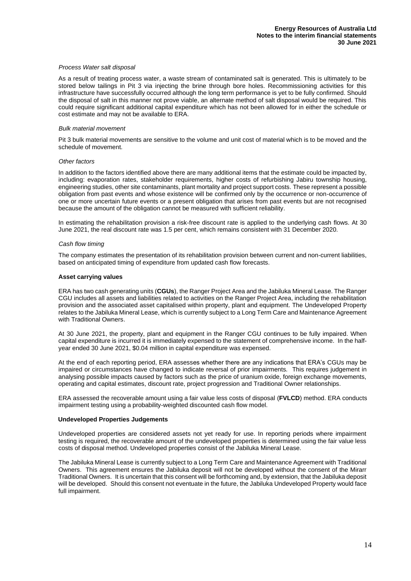#### *Process Water salt disposal*

As a result of treating process water, a waste stream of contaminated salt is generated. This is ultimately to be stored below tailings in Pit 3 via injecting the brine through bore holes. Recommissioning activities for this infrastructure have successfully occurred although the long term performance is yet to be fully confirmed. Should the disposal of salt in this manner not prove viable, an alternate method of salt disposal would be required. This could require significant additional capital expenditure which has not been allowed for in either the schedule or cost estimate and may not be available to ERA.

#### *Bulk material movement*

Pit 3 bulk material movements are sensitive to the volume and unit cost of material which is to be moved and the schedule of movement.

#### *Other factors*

In addition to the factors identified above there are many additional items that the estimate could be impacted by, including: evaporation rates, stakeholder requirements, higher costs of refurbishing Jabiru township housing, engineering studies, other site contaminants, plant mortality and project support costs. These represent a possible obligation from past events and whose existence will be confirmed only by the occurrence or non-occurrence of one or more uncertain future events or a present obligation that arises from past events but are not recognised because the amount of the obligation cannot be measured with sufficient reliability.

In estimating the rehabilitation provision a risk-free discount rate is applied to the underlying cash flows. At 30 June 2021, the real discount rate was 1.5 per cent, which remains consistent with 31 December 2020.

#### *Cash flow timing*

The company estimates the presentation of its rehabilitation provision between current and non-current liabilities, based on anticipated timing of expenditure from updated cash flow forecasts.

#### **Asset carrying values**

ERA has two cash generating units (**CGUs**), the Ranger Project Area and the Jabiluka Mineral Lease. The Ranger CGU includes all assets and liabilities related to activities on the Ranger Project Area, including the rehabilitation provision and the associated asset capitalised within property, plant and equipment. The Undeveloped Property relates to the Jabiluka Mineral Lease, which is currently subject to a Long Term Care and Maintenance Agreement with Traditional Owners.

At 30 June 2021, the property, plant and equipment in the Ranger CGU continues to be fully impaired. When capital expenditure is incurred it is immediately expensed to the statement of comprehensive income. In the halfyear ended 30 June 2021, \$0.04 million in capital expenditure was expensed.

At the end of each reporting period, ERA assesses whether there are any indications that ERA's CGUs may be impaired or circumstances have changed to indicate reversal of prior impairments. This requires judgement in analysing possible impacts caused by factors such as the price of uranium oxide, foreign exchange movements, operating and capital estimates, discount rate, project progression and Traditional Owner relationships.

ERA assessed the recoverable amount using a fair value less costs of disposal (**FVLCD**) method. ERA conducts impairment testing using a probability-weighted discounted cash flow model.

#### **Undeveloped Properties Judgements**

Undeveloped properties are considered assets not yet ready for use. In reporting periods where impairment testing is required, the recoverable amount of the undeveloped properties is determined using the fair value less costs of disposal method. Undeveloped properties consist of the Jabiluka Mineral Lease.

The Jabiluka Mineral Lease is currently subject to a Long Term Care and Maintenance Agreement with Traditional Owners. This agreement ensures the Jabiluka deposit will not be developed without the consent of the Mirarr Traditional Owners. It is uncertain that this consent will be forthcoming and, by extension, that the Jabiluka deposit will be developed. Should this consent not eventuate in the future, the Jabiluka Undeveloped Property would face full impairment.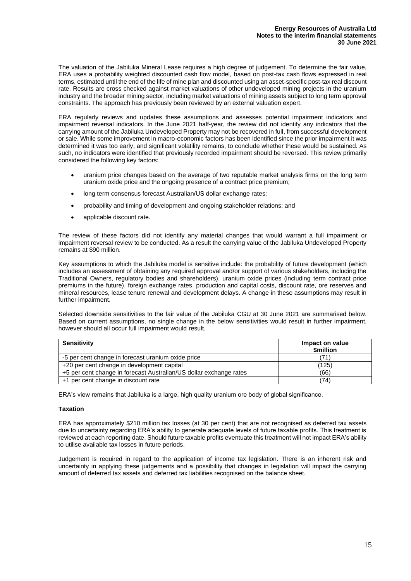The valuation of the Jabiluka Mineral Lease requires a high degree of judgement. To determine the fair value, ERA uses a probability weighted discounted cash flow model, based on post-tax cash flows expressed in real terms, estimated until the end of the life of mine plan and discounted using an asset-specific post-tax real discount rate. Results are cross checked against market valuations of other undeveloped mining projects in the uranium industry and the broader mining sector, including market valuations of mining assets subject to long term approval constraints. The approach has previously been reviewed by an external valuation expert.

ERA regularly reviews and updates these assumptions and assesses potential impairment indicators and impairment reversal indicators. In the June 2021 half-year, the review did not identify any indicators that the carrying amount of the Jabiluka Undeveloped Property may not be recovered in full, from successful development or sale. While some improvement in macro-economic factors has been identified since the prior impairment it was determined it was too early, and significant volatility remains, to conclude whether these would be sustained. As such, no indicators were identified that previously recorded impairment should be reversed. This review primarily considered the following key factors:

- uranium price changes based on the average of two reputable market analysis firms on the long term uranium oxide price and the ongoing presence of a contract price premium;
- long term consensus forecast Australian/US dollar exchange rates;
- probability and timing of development and ongoing stakeholder relations; and
- applicable discount rate.

The review of these factors did not identify any material changes that would warrant a full impairment or impairment reversal review to be conducted. As a result the carrying value of the Jabiluka Undeveloped Property remains at \$90 million.

Key assumptions to which the Jabiluka model is sensitive include: the probability of future development (which includes an assessment of obtaining any required approval and/or support of various stakeholders, including the Traditional Owners, regulatory bodies and shareholders), uranium oxide prices (including term contract price premiums in the future), foreign exchange rates, production and capital costs, discount rate, ore reserves and mineral resources, lease tenure renewal and development delays. A change in these assumptions may result in further impairment.

Selected downside sensitivities to the fair value of the Jabiluka CGU at 30 June 2021 are summarised below. Based on current assumptions, no single change in the below sensitivities would result in further impairment, however should all occur full impairment would result.

| <b>Sensitivity</b>                                                 | Impact on value<br><b><i><u>Smillion</u></i></b> |
|--------------------------------------------------------------------|--------------------------------------------------|
| -5 per cent change in forecast uranium oxide price                 | 71.                                              |
| +20 per cent change in development capital                         | (125)                                            |
| +5 per cent change in forecast Australian/US dollar exchange rates | (66)                                             |
| +1 per cent change in discount rate                                | 74)                                              |

ERA's view remains that Jabiluka is a large, high quality uranium ore body of global significance.

#### **Taxation**

ERA has approximately \$210 million tax losses (at 30 per cent) that are not recognised as deferred tax assets due to uncertainty regarding ERA's ability to generate adequate levels of future taxable profits. This treatment is reviewed at each reporting date. Should future taxable profits eventuate this treatment will not impact ERA's ability to utilise available tax losses in future periods.

Judgement is required in regard to the application of income tax legislation. There is an inherent risk and uncertainty in applying these judgements and a possibility that changes in legislation will impact the carrying amount of deferred tax assets and deferred tax liabilities recognised on the balance sheet.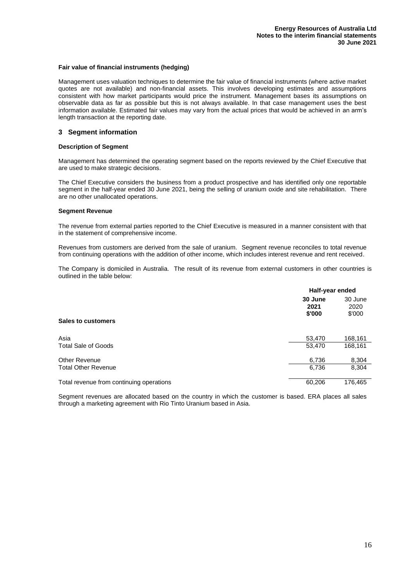#### **Fair value of financial instruments (hedging)**

Management uses valuation techniques to determine the fair value of financial instruments (where active market quotes are not available) and non-financial assets. This involves developing estimates and assumptions consistent with how market participants would price the instrument. Management bases its assumptions on observable data as far as possible but this is not always available. In that case management uses the best information available. Estimated fair values may vary from the actual prices that would be achieved in an arm's length transaction at the reporting date.

#### **3 Segment information**

#### **Description of Segment**

Management has determined the operating segment based on the reports reviewed by the Chief Executive that are used to make strategic decisions.

The Chief Executive considers the business from a product prospective and has identified only one reportable segment in the half-year ended 30 June 2021, being the selling of uranium oxide and site rehabilitation. There are no other unallocated operations.

#### **Segment Revenue**

The revenue from external parties reported to the Chief Executive is measured in a manner consistent with that in the statement of comprehensive income.

Revenues from customers are derived from the sale of uranium. Segment revenue reconciles to total revenue from continuing operations with the addition of other income, which includes interest revenue and rent received.

The Company is domiciled in Australia. The result of its revenue from external customers in other countries is outlined in the table below:

|                                          | Half-year ended           |                           |  |
|------------------------------------------|---------------------------|---------------------------|--|
| <b>Sales to customers</b>                | 30 June<br>2021<br>\$'000 | 30 June<br>2020<br>\$'000 |  |
|                                          |                           |                           |  |
| Asia                                     | 53,470                    | 168,161                   |  |
| Total Sale of Goods                      | 53,470                    | 168,161                   |  |
| Other Revenue                            | 6,736                     | 8,304                     |  |
| <b>Total Other Revenue</b>               | 6,736                     | 8,304                     |  |
| Total revenue from continuing operations | 60,206                    | 176,465                   |  |

Segment revenues are allocated based on the country in which the customer is based. ERA places all sales through a marketing agreement with Rio Tinto Uranium based in Asia.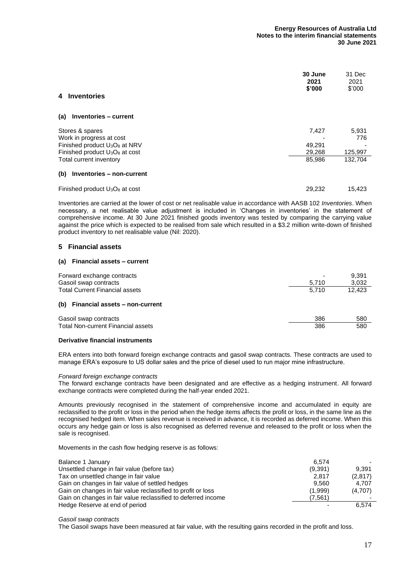| <b>Inventories</b><br>4                                                                                                                         | 30 June<br>2021<br>\$'000           | 31 Dec<br>2021<br>\$'000           |
|-------------------------------------------------------------------------------------------------------------------------------------------------|-------------------------------------|------------------------------------|
| Inventories - current<br>(a)                                                                                                                    |                                     |                                    |
| Stores & spares<br>Work in progress at cost<br>Finished product $U_3O_8$ at NRV<br>Finished product $U_3O_8$ at cost<br>Total current inventory | 7,427<br>49.291<br>29,268<br>85,986 | 5,931<br>776<br>125,997<br>132,704 |
| Inventories - non-current<br>(b)                                                                                                                |                                     |                                    |
| Finished product U <sub>3</sub> O <sub>8</sub> at cost                                                                                          | 29.232                              | 15,423                             |

Inventories are carried at the lower of cost or net realisable value in accordance with AASB 102 *Inventories*. When necessary, a net realisable value adjustment is included in 'Changes in inventories' in the statement of comprehensive income. At 30 June 2021 finished goods inventory was tested by comparing the carrying value against the price which is expected to be realised from sale which resulted in a \$3.2 million write-down of finished product inventory to net realisable value (Nil: 2020).

#### **5 Financial assets**

#### **(a) Financial assets – current**

| Forward exchange contracts<br>Gasoil swap contracts | 5.710 | 9,391<br>3,032 |
|-----------------------------------------------------|-------|----------------|
| <b>Total Current Financial assets</b>               | 5.710 | 12.423         |
| (b) Financial assets - non-current                  |       |                |
| Gasoil swap contracts                               | 386   | 580            |
| <b>Total Non-current Financial assets</b>           | 386   | 580            |
|                                                     |       |                |

#### **Derivative financial instruments**

ERA enters into both forward foreign exchange contracts and gasoil swap contracts. These contracts are used to manage ERA's exposure to US dollar sales and the price of diesel used to run major mine infrastructure.

#### *Forward foreign exchange contracts*

The forward exchange contracts have been designated and are effective as a hedging instrument. All forward exchange contracts were completed during the half-year ended 2021.

Amounts previously recognised in the statement of comprehensive income and accumulated in equity are reclassified to the profit or loss in the period when the hedge items affects the profit or loss, in the same line as the recognised hedged item. When sales revenue is received in advance, it is recorded as deferred income. When this occurs any hedge gain or loss is also recognised as deferred revenue and released to the profit or loss when the sale is recognised.

Movements in the cash flow hedging reserve is as follows:

| Balance 1 January                                             | 6.574   |         |
|---------------------------------------------------------------|---------|---------|
| Unsettled change in fair value (before tax)                   | (9,391) | 9.391   |
| Tax on unsettled change in fair value                         | 2,817   | (2,817) |
| Gain on changes in fair value of settled hedges               | 9.560   | 4.707   |
| Gain on changes in fair value reclassified to profit or loss  | (1,999) | (4,707) |
| Gain on changes in fair value reclassified to deferred income | (7,561) |         |
| Hedge Reserve at end of period                                |         | 6.574   |

*Gasoil swap contracts*

The Gasoil swaps have been measured at fair value, with the resulting gains recorded in the profit and loss.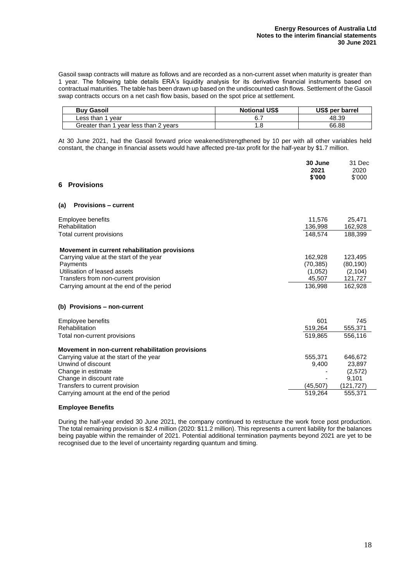Gasoil swap contracts will mature as follows and are recorded as a non-current asset when maturity is greater than 1 year. The following table details ERA's liquidity analysis for its derivative financial instruments based on contractual maturities. The table has been drawn up based on the undiscounted cash flows. Settlement of the Gasoil swap contracts occurs on a net cash flow basis, based on the spot price at settlement.

| <b>Buy Gasoil</b>                        | <b>Notional US\$</b> | US\$ per barrel |
|------------------------------------------|----------------------|-----------------|
| Less than 1<br>vear                      |                      | 48.39           |
| Greater than 1<br>vear less than 2 years | .8                   | 66.88           |

At 30 June 2021, had the Gasoil forward price weakened/strengthened by 10 per with all other variables held constant, the change in financial assets would have affected pre-tax profit for the half-year by \$1.7 million.

| <b>Provisions</b><br>6                            | 30 June<br>2021<br>\$'000 | 31 Dec<br>2020<br>\$'000 |
|---------------------------------------------------|---------------------------|--------------------------|
| <b>Provisions – current</b><br>(a)                |                           |                          |
| Employee benefits                                 | 11,576                    | 25,471                   |
| Rehabilitation                                    | 136,998                   | 162,928                  |
| Total current provisions                          | 148.574                   | 188.399                  |
| Movement in current rehabilitation provisions     |                           |                          |
| Carrying value at the start of the year           | 162,928                   | 123,495                  |
| Payments                                          | (70, 385)                 | (80, 190)                |
| Utilisation of leased assets                      | (1,052)                   | (2, 104)                 |
| Transfers from non-current provision              | 45,507                    | 121,727                  |
| Carrying amount at the end of the period          | 136,998                   | 162,928                  |
| (b) Provisions - non-current                      |                           |                          |
| Employee benefits                                 | 601                       | 745                      |
| Rehabilitation                                    | 519,264                   | 555,371                  |
| Total non-current provisions                      | 519,865                   | 556,116                  |
| Movement in non-current rehabilitation provisions |                           |                          |
| Carrying value at the start of the year           | 555,371                   | 646,672                  |
| Unwind of discount                                | 9,400                     | 23,897                   |
| Change in estimate                                |                           | (2,572)                  |
| Change in discount rate                           |                           | 9,101                    |
| Transfers to current provision                    | (45, 507)                 | (121,727)                |
| Carrying amount at the end of the period          | 519.264                   | 555,371                  |

#### **Employee Benefits**

During the half-year ended 30 June 2021, the company continued to restructure the work force post production. The total remaining provision is \$2.4 million (2020: \$11.2 million). This represents a current liability for the balances being payable within the remainder of 2021. Potential additional termination payments beyond 2021 are yet to be recognised due to the level of uncertainty regarding quantum and timing.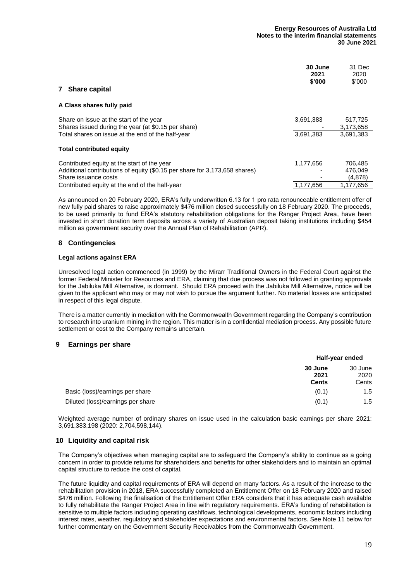| <b>Share capital</b><br>7                                                                                                                         | 30 June<br>2021<br>\$'000 | 31 Dec<br>2020<br>\$'000      |
|---------------------------------------------------------------------------------------------------------------------------------------------------|---------------------------|-------------------------------|
| A Class shares fully paid                                                                                                                         |                           |                               |
| Share on issue at the start of the year<br>Shares issued during the year (at \$0.15 per share)                                                    | 3,691,383                 | 517,725<br>3,173,658          |
| Total shares on issue at the end of the half-year<br><b>Total contributed equity</b>                                                              | 3,691,383                 | 3,691,383                     |
| Contributed equity at the start of the year<br>Additional contributions of equity (\$0.15 per share for 3,173,658 shares)<br>Share issuance costs | 1,177,656                 | 706.485<br>476.049<br>(4,878) |
| Contributed equity at the end of the half-year                                                                                                    | 1.177.656                 | 1,177,656                     |

As announced on 20 February 2020, ERA's fully underwritten 6.13 for 1 pro rata renounceable entitlement offer of new fully paid shares to raise approximately \$476 million closed successfully on 18 February 2020. The proceeds, to be used primarily to fund ERA's statutory rehabilitation obligations for the Ranger Project Area, have been invested in short duration term deposits across a variety of Australian deposit taking institutions including \$454 million as government security over the Annual Plan of Rehabilitation (APR).

#### **8 Contingencies**

#### **Legal actions against ERA**

Unresolved legal action commenced (in 1999) by the Mirarr Traditional Owners in the Federal Court against the former Federal Minister for Resources and ERA, claiming that due process was not followed in granting approvals for the Jabiluka Mill Alternative, is dormant. Should ERA proceed with the Jabiluka Mill Alternative, notice will be given to the applicant who may or may not wish to pursue the argument further. No material losses are anticipated in respect of this legal dispute.

There is a matter currently in mediation with the Commonwealth Government regarding the Company's contribution to research into uranium mining in the region. This matter is in a confidential mediation process. Any possible future settlement or cost to the Company remains uncertain.

#### **9 Earnings per share**

|                                   | Half-year ended |                 |  |
|-----------------------------------|-----------------|-----------------|--|
|                                   | 30 June<br>2021 | 30 June<br>2020 |  |
|                                   | <b>Cents</b>    | Cents           |  |
| Basic (loss)/earnings per share   | (0.1)           | 1.5             |  |
| Diluted (loss)/earnings per share | (0.1)           | 1.5             |  |

Weighted average number of ordinary shares on issue used in the calculation basic earnings per share 2021: 3,691,383,198 (2020: 2,704,598,144).

#### **10 Liquidity and capital risk**

The Company's objectives when managing capital are to safeguard the Company's ability to continue as a going concern in order to provide returns for shareholders and benefits for other stakeholders and to maintain an optimal capital structure to reduce the cost of capital.

The future liquidity and capital requirements of ERA will depend on many factors. As a result of the increase to the rehabilitation provision in 2018, ERA successfully completed an Entitlement Offer on 18 February 2020 and raised \$476 million. Following the finalisation of the Entitlement Offer ERA considers that it has adequate cash available to fully rehabilitate the Ranger Project Area in line with regulatory requirements. ERA's funding of rehabilitation is sensitive to multiple factors including operating cashflows, technological developments, economic factors including interest rates, weather, regulatory and stakeholder expectations and environmental factors. See Note 11 below for further commentary on the Government Security Receivables from the Commonwealth Government.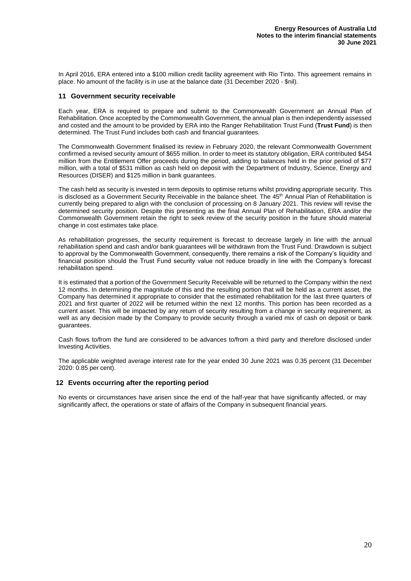In April 2016, ERA entered into a \$100 million credit facility agreement with Rio Tinto. This agreement remains in place. No amount of the facility is in use at the balance date (31 December 2020 - \$nil).

#### **11 Government security receivable**

Each year, ERA is required to prepare and submit to the Commonwealth Government an Annual Plan of Rehabilitation. Once accepted by the Commonwealth Government, the annual plan is then independently assessed and costed and the amount to be provided by ERA into the Ranger Rehabilitation Trust Fund (**Trust Fund**) is then determined. The Trust Fund includes both cash and financial guarantees.

The Commonwealth Government finalised its review in February 2020, the relevant Commonwealth Government confirmed a revised security amount of \$655 million. In order to meet its statutory obligation, ERA contributed \$454 million from the Entitlement Offer proceeds during the period, adding to balances held in the prior period of \$77 million, with a total of \$531 million as cash held on deposit with the Department of Industry, Science, Energy and Resources (DISER) and \$125 million in bank guarantees.

The cash held as security is invested in term deposits to optimise returns whilst providing appropriate security. This is disclosed as a Government Security Receivable in the balance sheet. The 45<sup>th</sup> Annual Plan of Rehabilitation is currently being prepared to align with the conclusion of processing on 8 January 2021. This review will revise the determined security position. Despite this presenting as the final Annual Plan of Rehabilitation, ERA and/or the Commonwealth Government retain the right to seek review of the security position in the future should material change in cost estimates take place.

As rehabilitation progresses, the security requirement is forecast to decrease largely in line with the annual rehabilitation spend and cash and/or bank guarantees will be withdrawn from the Trust Fund. Drawdown is subject to approval by the Commonwealth Government, consequently, there remains a risk of the Company's liquidity and financial position should the Trust Fund security value not reduce broadly in line with the Company's forecast rehabilitation spend.

It is estimated that a portion of the Government Security Receivable will be returned to the Company within the next 12 months. In determining the magnitude of this and the resulting portion that will be held as a current asset, the Company has determined it appropriate to consider that the estimated rehabilitation for the last three quarters of 2021 and first quarter of 2022 will be returned within the next 12 months. This portion has been recorded as a current asset. This will be impacted by any return of security resulting from a change in security requirement, as well as any decision made by the Company to provide security through a varied mix of cash on deposit or bank guarantees.

Cash flows to/from the fund are considered to be advances to/from a third party and therefore disclosed under Investing Activities.

The applicable weighted average interest rate for the year ended 30 June 2021 was 0.35 percent (31 December 2020: 0.85 per cent).

#### **12 Events occurring after the reporting period**

No events or circumstances have arisen since the end of the half-year that have significantly affected, or may significantly affect, the operations or state of affairs of the Company in subsequent financial years.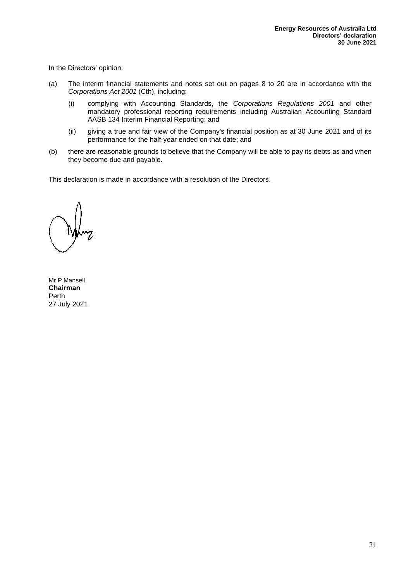In the Directors' opinion:

- (a) The interim financial statements and notes set out on pages 8 to 20 are in accordance with the *Corporations Act 2001* (Cth), including:
	- (i) complying with Accounting Standards, the *Corporations Regulations 2001* and other mandatory professional reporting requirements including Australian Accounting Standard AASB 134 Interim Financial Reporting; and
	- (ii) giving a true and fair view of the Company's financial position as at 30 June 2021 and of its performance for the half-year ended on that date; and
- (b) there are reasonable grounds to believe that the Company will be able to pay its debts as and when they become due and payable.

This declaration is made in accordance with a resolution of the Directors.

Mr P Mansell **Chairman** Perth 27 July 2021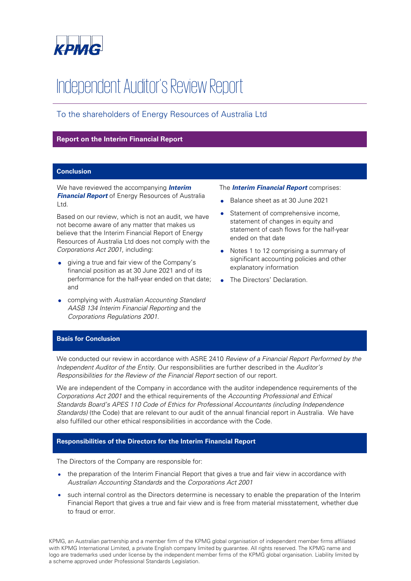

# Independent Auditor's Review Report

# To the shareholders of Energy Resources of Australia Ltd

#### **Report on the Interim Financial Report**

#### **Conclusion**

We have reviewed the accompanying **Interim Financial Report** of Energy Resources of Australia Ltd.

Based on our review, which is not an audit, we have not become aware of any matter that makes us believe that the Interim Financial Report of Energy Resources of Australia Ltd does not comply with the Corporations Act 2001, including:

- giving a true and fair view of the Company's financial position as at 30 June 2021 and of its performance for the half-year ended on that date; and
- complying with Australian Accounting Standard AASB 134 Interim Financial Reporting and the Corporations Regulations 2001.

#### The **Interim Financial Report** comprises:

- Balance sheet as at 30 June 2021
- Statement of comprehensive income, statement of changes in equity and statement of cash flows for the half-year ended on that date
- Notes 1 to 12 comprising a summary of significant accounting policies and other explanatory information
- The Directors' Declaration.

#### **Basis for Conclusion**

We conducted our review in accordance with ASRE 2410 Review of a Financial Report Performed by the Independent Auditor of the Entity. Our responsibilities are further described in the Auditor's Responsibilities for the Review of the Financial Report section of our report.

We are independent of the Company in accordance with the auditor independence requirements of the Corporations Act 2001 and the ethical requirements of the Accounting Professional and Ethical Standards Board's APES 110 Code of Ethics for Professional Accountants (including Independence Standards) (the Code) that are relevant to our audit of the annual financial report in Australia. We have also fulfilled our other ethical responsibilities in accordance with the Code.

#### **Responsibilities of the Directors for the Interim Financial Report**

The Directors of the Company are responsible for:

- the preparation of the Interim Financial Report that gives a true and fair view in accordance with Australian Accounting Standards and the Corporations Act 2001
- such internal control as the Directors determine is necessary to enable the preparation of the Interim Financial Report that gives a true and fair view and is free from material misstatement, whether due to fraud or error.

KPMG, an Australian partnership and a member firm of the KPMG global organisation of independent member firms affiliated with KPMG International Limited, a private English company limited by guarantee. All rights reserved. The KPMG name and logo are trademarks used under license by the independent member firms of the KPMG global organisation. Liability limited by a scheme approved under Professional Standards Legislation.